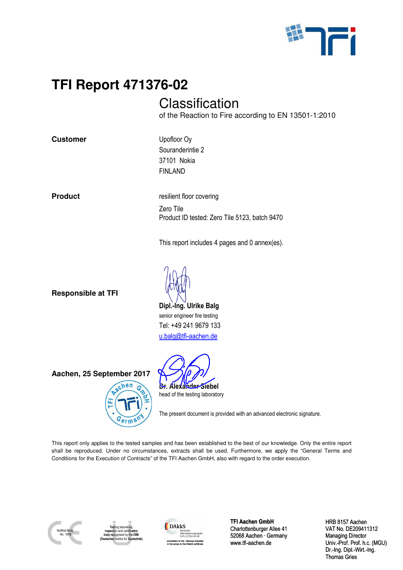

# **Classification**

of the Reaction to Fire according to EN 13501-1:2010

**Customer** Upofloor Oy

Souranderintie 2 37101 Nokia FINLAND

**Product** *resilient floor covering* Zero Tile Product ID tested: Zero Tile 5123, batch 9470

This report includes 4 pages and 0 annex(es).

**Responsible at TFI** 

**Dipl.-Ing. Ulrike Balg**  senior engineer fire testing Tel: +49 241 9679 133 u.balg@tfi-aachen.de

**Aachen, 25 September 2017** 





The present document is provided with an advanced electronic signature.

**TFI Report 471376-02**<br>
Class<br>
content the Rea<br>
Customer<br>
Product<br>
Product<br>
Product<br>
Product<br>
Product<br>
Product<br>
Product<br>
Product<br>
Product<br>
Product<br>
Product<br>
Dipl.-Ing. U<br>
This report in<br>
Product ID to<br>
Product ID to<br>
Produ This report only applies to the tested samples and has been established to the best of our knowledge. Only the entire report shall be reproduced. Under no circumstances, extracts shall be used. Furthermore, we apply the "General Terms and Conditions for the Execution of Contracts" of the TFI Aachen GmbH, also with regard to the order execution.



Testing laboratory, inspection and certification d by the DIB (Deutsches Institut für Bautechnik)



**TFI Aachen GmbH** Charlottenburger Allee 41 52068 Aachen · Germany www.tfi-aachen.de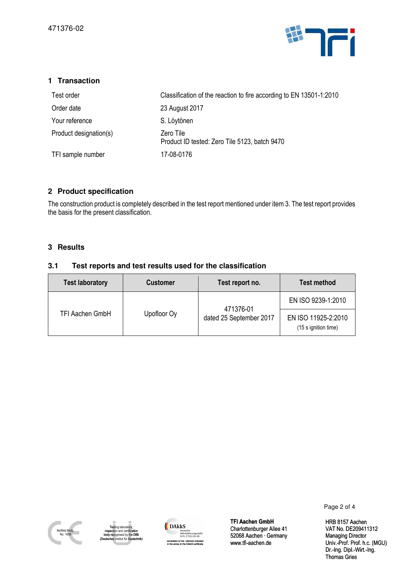

| 1 Transaction                                                                                                                                          |                                                                                                                                                        |                                                                                                                 |                                               |
|--------------------------------------------------------------------------------------------------------------------------------------------------------|--------------------------------------------------------------------------------------------------------------------------------------------------------|-----------------------------------------------------------------------------------------------------------------|-----------------------------------------------|
| Test order                                                                                                                                             |                                                                                                                                                        | Classification of the reaction to fire according to EN 13501-1:2010                                             |                                               |
| Order date                                                                                                                                             | 23 August 2017                                                                                                                                         |                                                                                                                 |                                               |
| Your reference                                                                                                                                         | S. Löytönen                                                                                                                                            |                                                                                                                 |                                               |
| Product designation(s)                                                                                                                                 | Zero Tile                                                                                                                                              | Product ID tested: Zero Tile 5123, batch 9470                                                                   |                                               |
| TFI sample number                                                                                                                                      | 17-08-0176                                                                                                                                             |                                                                                                                 |                                               |
| 2 Product specification<br>the basis for the present classification.                                                                                   |                                                                                                                                                        | The construction product is completely described in the test report mentioned under item 3. The test report prc |                                               |
| 3 Results<br>3.1                                                                                                                                       | Test reports and test results used for the classification                                                                                              |                                                                                                                 |                                               |
| <b>Test laboratory</b>                                                                                                                                 | <b>Customer</b>                                                                                                                                        | Test report no.                                                                                                 | <b>Test method</b>                            |
| TFI Aachen GmbH                                                                                                                                        | Upofloor Oy                                                                                                                                            | 471376-01<br>dated 25 September 2017                                                                            | EN ISO 9239-1:20                              |
|                                                                                                                                                        |                                                                                                                                                        |                                                                                                                 | EN ISO 11925-2:20<br>(15 s ignition time)     |
|                                                                                                                                                        |                                                                                                                                                        |                                                                                                                 |                                               |
|                                                                                                                                                        |                                                                                                                                                        |                                                                                                                 | Page                                          |
| Testing laboratory,<br>Notified Body<br>inspection and certification<br>No. 1658<br>body recognised by the DIBt<br>(Deutsches Institut für Bautechnik) | <b>DAkkS</b><br>Deutsche<br>Akkreditierungsstelle<br>D-PL-17152-01-00<br>Accredited for the methods indicated<br>in the annex to the DAkkS certificate | <b>TFI Aachen GmbH</b><br>Charlottenburger Allee 41<br>52068 Aachen · Germany<br>www.tfi-aachen.de              | HRB <sub>8</sub><br>VAT N<br>Manag<br>Univ.-I |

### **2 Product specification**

The construction product is completely described in the test report mentioned under item 3. The test report provides the basis for the present classification.

### **3 Results**

### **3.1 Test reports and test results used for the classification**

| <b>Test laboratory</b> | <b>Customer</b> | Test report no.                      | <b>Test method</b>                          |
|------------------------|-----------------|--------------------------------------|---------------------------------------------|
| <b>TFI Aachen GmbH</b> | Upofloor Oy     | 471376-01<br>dated 25 September 2017 | EN ISO 9239-1:2010                          |
|                        |                 |                                      | EN ISO 11925-2:2010<br>(15 s ignition time) |





Page 2 of 4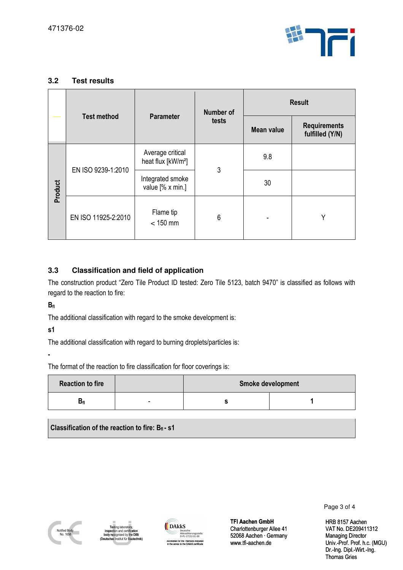

| 3.2                       | <b>Test results</b>                                                                                                                                                                      |                                                                                                           |                                                         |                                                                                                    |               |                                                                      |
|---------------------------|------------------------------------------------------------------------------------------------------------------------------------------------------------------------------------------|-----------------------------------------------------------------------------------------------------------|---------------------------------------------------------|----------------------------------------------------------------------------------------------------|---------------|----------------------------------------------------------------------|
|                           | <b>Test method</b>                                                                                                                                                                       |                                                                                                           | <b>Number of</b>                                        |                                                                                                    | <b>Result</b> |                                                                      |
|                           |                                                                                                                                                                                          | <b>Parameter</b>                                                                                          | tests                                                   | <b>Mean value</b>                                                                                  |               | <b>Requirements</b><br>fulfilled (Y/N)                               |
| Product                   | EN ISO 9239-1:2010                                                                                                                                                                       |                                                                                                           | Average critical<br>heat flux [kW/m <sup>2</sup> ]<br>3 | 9.8                                                                                                |               |                                                                      |
|                           |                                                                                                                                                                                          | Integrated smoke<br>value [% x min.]                                                                      |                                                         | 30                                                                                                 |               |                                                                      |
|                           | EN ISO 11925-2:2010                                                                                                                                                                      | Flame tip<br>$< 150$ mm                                                                                   | 6                                                       |                                                                                                    |               | Y                                                                    |
| $B_{fl}$<br>s1            | regard to the reaction to fire:<br>The additional classification with regard to the smoke development is:<br>The additional classification with regard to burning droplets/particles is: |                                                                                                           |                                                         |                                                                                                    |               |                                                                      |
|                           | The format of the reaction to fire classification for floor coverings is:                                                                                                                |                                                                                                           |                                                         |                                                                                                    |               |                                                                      |
|                           | <b>Reaction to fire</b><br>Smoke development<br>$B_{fl}$<br>S                                                                                                                            |                                                                                                           | 1                                                       |                                                                                                    |               |                                                                      |
|                           | Classification of the reaction to fire: $B_{fi}$ - s1                                                                                                                                    |                                                                                                           |                                                         |                                                                                                    |               | Page 3 of 4                                                          |
| Notified Body<br>No. 1658 | Testing laboratory,<br>inspection and certification<br>body recognised by the DIBt<br>(Deutsches Institut für Bautechnik)                                                                | <b>DAkkS</b><br>Deutsche<br>Accredited for the methods indicated<br>in the annex to the DAkkS certificate | Akkreditierungsstelle<br>D-PL-17152-01-00               | <b>TFI Aachen GmbH</b><br>Charlottenburger Allee 41<br>52068 Aachen · Germany<br>www.tfi-aachen.de |               | <b>HRB 8157 Aa</b><br>VAT No. DE2<br>Managing Dire<br>Univ.-Prof. Pr |

## **3.3 Classification and field of application**

| <b>Reaction to fire</b> |   | Smoke development |  |  |
|-------------------------|---|-------------------|--|--|
| Dfl                     | - |                   |  |  |